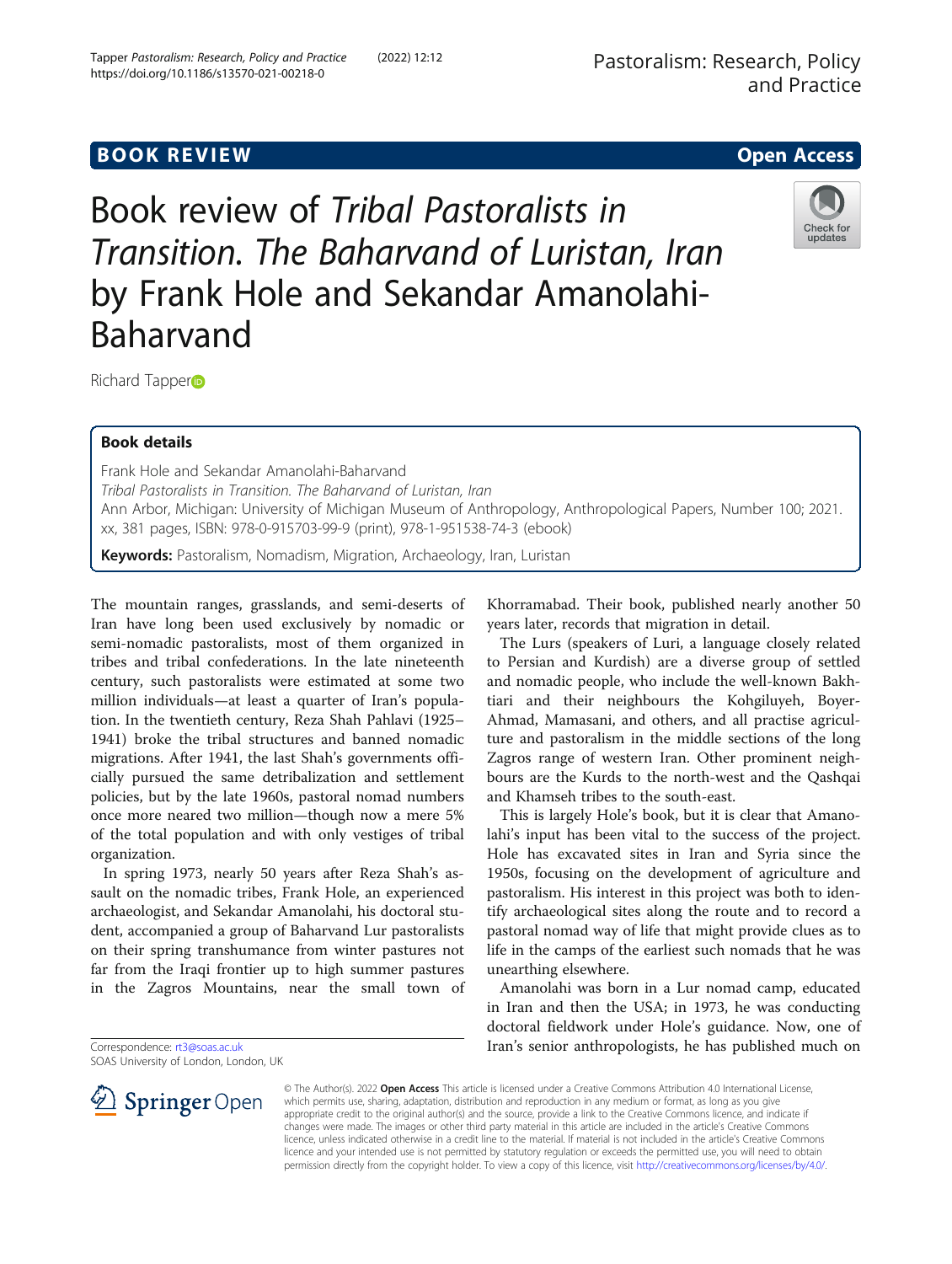# **BOOK REVIEW CONTROL** BOOK REVIEW

Book review of Tribal Pastoralists in Transition. The Baharvand of Luristan, Iran by Frank Hole and Sekandar Amanolahi-Baharvand



Richard Tapper<sub>D</sub>

# Book details

Frank Hole and Sekandar Amanolahi-Baharvand Tribal Pastoralists in Transition. The Baharvand of Luristan, Iran Ann Arbor, Michigan: University of Michigan Museum of Anthropology, Anthropological Papers, Number 100; 2021. xx, 381 pages, ISBN: 978-0-915703-99-9 (print), 978-1-951538-74-3 (ebook)

Keywords: Pastoralism, Nomadism, Migration, Archaeology, Iran, Luristan

The mountain ranges, grasslands, and semi-deserts of Iran have long been used exclusively by nomadic or semi-nomadic pastoralists, most of them organized in tribes and tribal confederations. In the late nineteenth century, such pastoralists were estimated at some two million individuals—at least a quarter of Iran's population. In the twentieth century, Reza Shah Pahlavi (1925– 1941) broke the tribal structures and banned nomadic migrations. After 1941, the last Shah's governments officially pursued the same detribalization and settlement policies, but by the late 1960s, pastoral nomad numbers once more neared two million—though now a mere 5% of the total population and with only vestiges of tribal organization.

In spring 1973, nearly 50 years after Reza Shah's assault on the nomadic tribes, Frank Hole, an experienced archaeologist, and Sekandar Amanolahi, his doctoral student, accompanied a group of Baharvand Lur pastoralists on their spring transhumance from winter pastures not far from the Iraqi frontier up to high summer pastures in the Zagros Mountains, near the small town of

Correspondence: [rt3@soas.ac.uk](mailto:rt3@soas.ac.uk)

SOAS University of London, London, UK

Khorramabad. Their book, published nearly another 50 years later, records that migration in detail.

The Lurs (speakers of Luri, a language closely related to Persian and Kurdish) are a diverse group of settled and nomadic people, who include the well-known Bakhtiari and their neighbours the Kohgiluyeh, Boyer-Ahmad, Mamasani, and others, and all practise agriculture and pastoralism in the middle sections of the long Zagros range of western Iran. Other prominent neighbours are the Kurds to the north-west and the Qashqai and Khamseh tribes to the south-east.

This is largely Hole's book, but it is clear that Amanolahi's input has been vital to the success of the project. Hole has excavated sites in Iran and Syria since the 1950s, focusing on the development of agriculture and pastoralism. His interest in this project was both to identify archaeological sites along the route and to record a pastoral nomad way of life that might provide clues as to life in the camps of the earliest such nomads that he was unearthing elsewhere.

Amanolahi was born in a Lur nomad camp, educated in Iran and then the USA; in 1973, he was conducting doctoral fieldwork under Hole's guidance. Now, one of Iran's senior anthropologists, he has published much on



© The Author(s). 2022 Open Access This article is licensed under a Creative Commons Attribution 4.0 International License, which permits use, sharing, adaptation, distribution and reproduction in any medium or format, as long as you give appropriate credit to the original author(s) and the source, provide a link to the Creative Commons licence, and indicate if changes were made. The images or other third party material in this article are included in the article's Creative Commons licence, unless indicated otherwise in a credit line to the material. If material is not included in the article's Creative Commons licence and your intended use is not permitted by statutory regulation or exceeds the permitted use, you will need to obtain permission directly from the copyright holder. To view a copy of this licence, visit <http://creativecommons.org/licenses/by/4.0/>.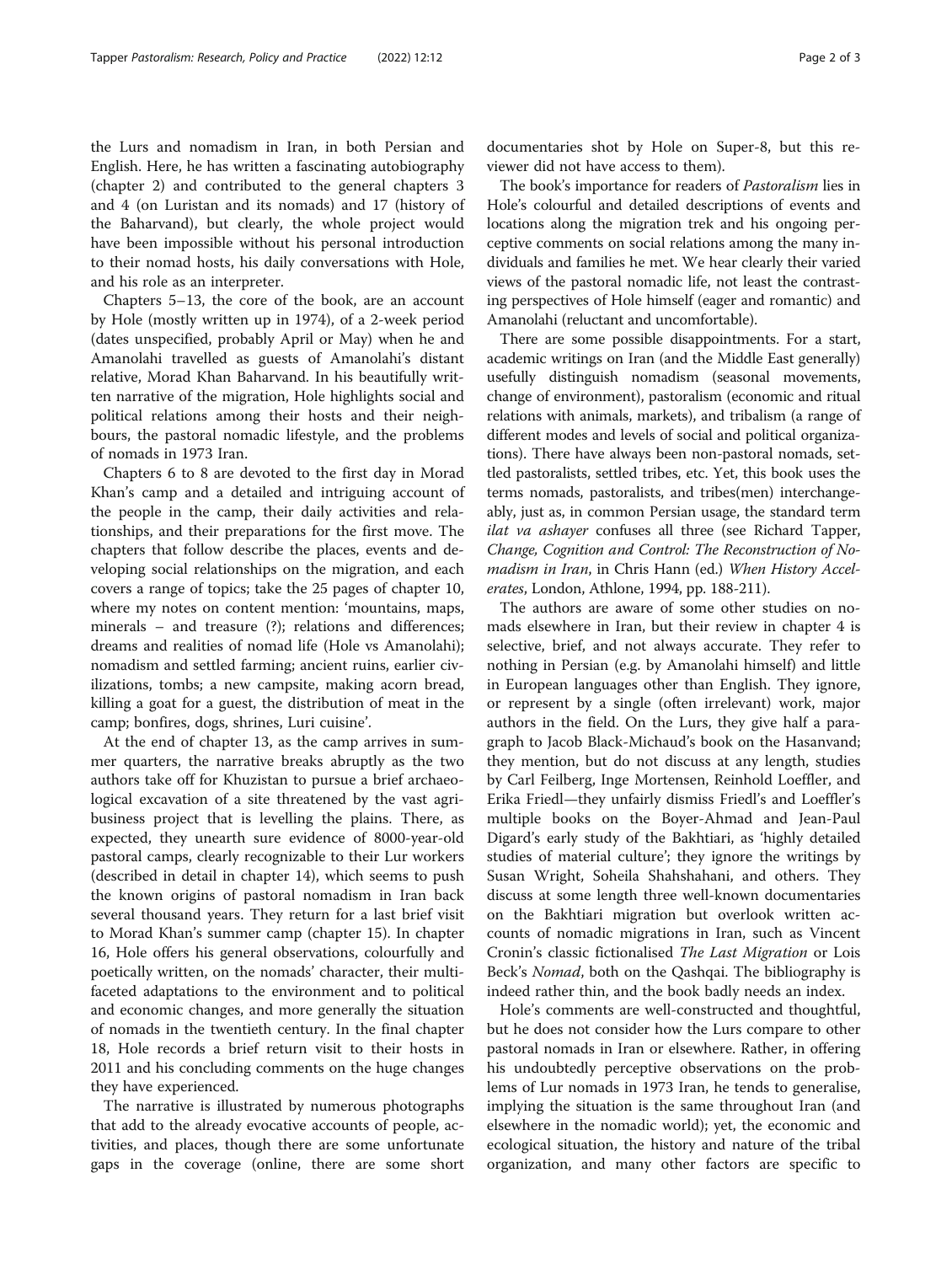the Lurs and nomadism in Iran, in both Persian and English. Here, he has written a fascinating autobiography (chapter 2) and contributed to the general chapters 3 and 4 (on Luristan and its nomads) and 17 (history of the Baharvand), but clearly, the whole project would have been impossible without his personal introduction to their nomad hosts, his daily conversations with Hole, and his role as an interpreter.

Chapters 5–13, the core of the book, are an account by Hole (mostly written up in 1974), of a 2-week period (dates unspecified, probably April or May) when he and Amanolahi travelled as guests of Amanolahi's distant relative, Morad Khan Baharvand. In his beautifully written narrative of the migration, Hole highlights social and political relations among their hosts and their neighbours, the pastoral nomadic lifestyle, and the problems of nomads in 1973 Iran.

Chapters 6 to 8 are devoted to the first day in Morad Khan's camp and a detailed and intriguing account of the people in the camp, their daily activities and relationships, and their preparations for the first move. The chapters that follow describe the places, events and developing social relationships on the migration, and each covers a range of topics; take the 25 pages of chapter 10, where my notes on content mention: 'mountains, maps, minerals – and treasure (?); relations and differences; dreams and realities of nomad life (Hole vs Amanolahi); nomadism and settled farming; ancient ruins, earlier civilizations, tombs; a new campsite, making acorn bread, killing a goat for a guest, the distribution of meat in the camp; bonfires, dogs, shrines, Luri cuisine'.

At the end of chapter 13, as the camp arrives in summer quarters, the narrative breaks abruptly as the two authors take off for Khuzistan to pursue a brief archaeological excavation of a site threatened by the vast agribusiness project that is levelling the plains. There, as expected, they unearth sure evidence of 8000-year-old pastoral camps, clearly recognizable to their Lur workers (described in detail in chapter 14), which seems to push the known origins of pastoral nomadism in Iran back several thousand years. They return for a last brief visit to Morad Khan's summer camp (chapter 15). In chapter 16, Hole offers his general observations, colourfully and poetically written, on the nomads' character, their multifaceted adaptations to the environment and to political and economic changes, and more generally the situation of nomads in the twentieth century. In the final chapter 18, Hole records a brief return visit to their hosts in 2011 and his concluding comments on the huge changes they have experienced.

The narrative is illustrated by numerous photographs that add to the already evocative accounts of people, activities, and places, though there are some unfortunate gaps in the coverage (online, there are some short

documentaries shot by Hole on Super-8, but this reviewer did not have access to them).

The book's importance for readers of Pastoralism lies in Hole's colourful and detailed descriptions of events and locations along the migration trek and his ongoing perceptive comments on social relations among the many individuals and families he met. We hear clearly their varied views of the pastoral nomadic life, not least the contrasting perspectives of Hole himself (eager and romantic) and Amanolahi (reluctant and uncomfortable).

There are some possible disappointments. For a start, academic writings on Iran (and the Middle East generally) usefully distinguish nomadism (seasonal movements, change of environment), pastoralism (economic and ritual relations with animals, markets), and tribalism (a range of different modes and levels of social and political organizations). There have always been non-pastoral nomads, settled pastoralists, settled tribes, etc. Yet, this book uses the terms nomads, pastoralists, and tribes(men) interchangeably, just as, in common Persian usage, the standard term ilat va ashayer confuses all three (see Richard Tapper, Change, Cognition and Control: The Reconstruction of Nomadism in Iran, in Chris Hann (ed.) When History Accelerates, London, Athlone, 1994, pp. 188-211).

The authors are aware of some other studies on nomads elsewhere in Iran, but their review in chapter 4 is selective, brief, and not always accurate. They refer to nothing in Persian (e.g. by Amanolahi himself) and little in European languages other than English. They ignore, or represent by a single (often irrelevant) work, major authors in the field. On the Lurs, they give half a paragraph to Jacob Black-Michaud's book on the Hasanvand; they mention, but do not discuss at any length, studies by Carl Feilberg, Inge Mortensen, Reinhold Loeffler, and Erika Friedl—they unfairly dismiss Friedl's and Loeffler's multiple books on the Boyer-Ahmad and Jean-Paul Digard's early study of the Bakhtiari, as 'highly detailed studies of material culture'; they ignore the writings by Susan Wright, Soheila Shahshahani, and others. They discuss at some length three well-known documentaries on the Bakhtiari migration but overlook written accounts of nomadic migrations in Iran, such as Vincent Cronin's classic fictionalised The Last Migration or Lois Beck's *Nomad*, both on the Qashqai. The bibliography is indeed rather thin, and the book badly needs an index.

Hole's comments are well-constructed and thoughtful, but he does not consider how the Lurs compare to other pastoral nomads in Iran or elsewhere. Rather, in offering his undoubtedly perceptive observations on the problems of Lur nomads in 1973 Iran, he tends to generalise, implying the situation is the same throughout Iran (and elsewhere in the nomadic world); yet, the economic and ecological situation, the history and nature of the tribal organization, and many other factors are specific to